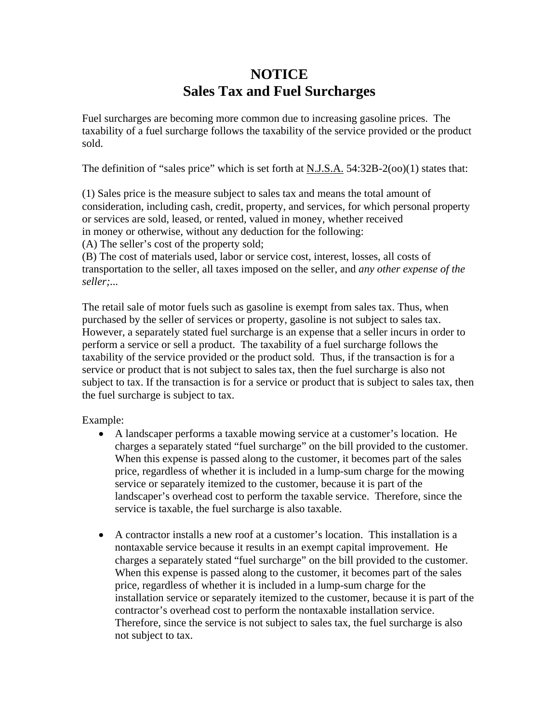## **NOTICE Sales Tax and Fuel Surcharges**

Fuel surcharges are becoming more common due to increasing gasoline prices.The taxability of a fuel surcharge follows the taxability of the service provided or the product sold.

The definition of "sales price" which is set forth at  $N.J.S.A. 54:32B-2(00)(1)$  states that:

(1) Sales price is the measure subject to sales tax and means the total amount of consideration, including cash, credit, property, and services, for which personal property or services are sold, leased, or rented, valued in money, whether received in money or otherwise, without any deduction for the following:

(A) The seller's cost of the property sold;

(B) The cost of materials used, labor or service cost, interest, losses, all costs of transportation to the seller, all taxes imposed on the seller, and *any other expense of the seller;...* 

The retail sale of motor fuels such as gasoline is exempt from sales tax. Thus, when purchased by the seller of services or property, gasoline is not subject to sales tax. However, a separately stated fuel surcharge is an expense that a seller incurs in order to perform a service or sell a product. The taxability of a fuel surcharge follows the taxability of the service provided or the product sold. Thus, if the transaction is for a service or product that is not subject to sales tax, then the fuel surcharge is also not subject to tax. If the transaction is for a service or product that is subject to sales tax, then the fuel surcharge is subject to tax.

Example:

- A landscaper performs a taxable mowing service at a customer's location. He charges a separately stated "fuel surcharge" on the bill provided to the customer. When this expense is passed along to the customer, it becomes part of the sales price, regardless of whether it is included in a lump-sum charge for the mowing service or separately itemized to the customer, because it is part of the landscaper's overhead cost to perform the taxable service. Therefore, since the service is taxable, the fuel surcharge is also taxable.
- A contractor installs a new roof at a customer's location. This installation is a nontaxable service because it results in an exempt capital improvement. He charges a separately stated "fuel surcharge" on the bill provided to the customer. When this expense is passed along to the customer, it becomes part of the sales price, regardless of whether it is included in a lump-sum charge for the installation service or separately itemized to the customer, because it is part of the contractor's overhead cost to perform the nontaxable installation service. Therefore, since the service is not subject to sales tax, the fuel surcharge is also not subject to tax.